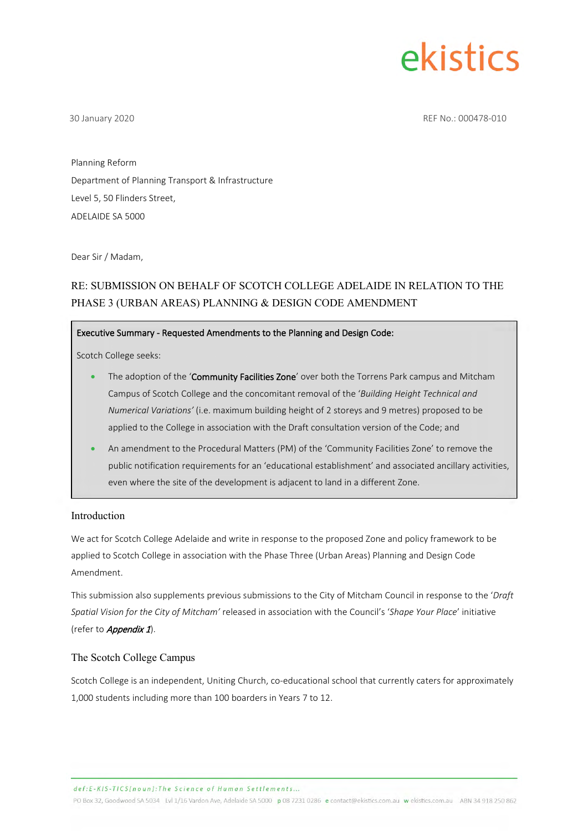

30 January 2020 REF No.: 000478-010

Planning Reform Department of Planning Transport & Infrastructure Level 5, 50 Flinders Street, ADELAIDE SA 5000

Dear Sir / Madam,

#### RE: SUBMISSION ON BEHALF OF SCOTCH COLLEGE ADELAIDE IN RELATION TO THE PHASE 3 (URBAN AREAS) PLANNING & DESIGN CODE AMENDMENT

#### Executive Summary - Requested Amendments to the Planning and Design Code:

Scotch College seeks:

- The adoption of the 'Community Facilities Zone' over both the Torrens Park campus and Mitcham Campus of Scotch College and the concomitant removal of the '*Building Height Technical and Numerical Variations'* (i.e. maximum building height of 2 storeys and 9 metres) proposed to be applied to the College in association with the Draft consultation version of the Code; and
- An amendment to the Procedural Matters (PM) of the 'Community Facilities Zone' to remove the public notification requirements for an 'educational establishment' and associated ancillary activities, even where the site of the development is adjacent to land in a different Zone.

#### Introduction

We act for Scotch College Adelaide and write in response to the proposed Zone and policy framework to be applied to Scotch College in association with the Phase Three (Urban Areas) Planning and Design Code Amendment.

This submission also supplements previous submissions to the City of Mitcham Council in response to the '*Draft Spatial Vision for the City of Mitcham'* released in association with the Council's '*Shape Your Place*' initiative (refer to *Appendix 1*).

#### The Scotch College Campus

Scotch College is an [independent,](https://en.wikipedia.org/wiki/Independent_school) [Uniting Church,](https://en.wikipedia.org/wiki/Uniting_Church_of_Australia) [co-educational](https://en.wikipedia.org/wiki/Co-educational) school that currently caters for approximately 1,000 students including more than 100 boarders in Years 7 to 12.

def:E-KIS-TICS{noun]:The Science of Human Settlements.

PO Box 32, Goodwood SA 5034 Lvl 1/16 Vardon Ave, Adelaide SA 5000 p 08 7231 0286 e contact@ekistics.com.au w ekistics.com.au ABN 34 918 250 862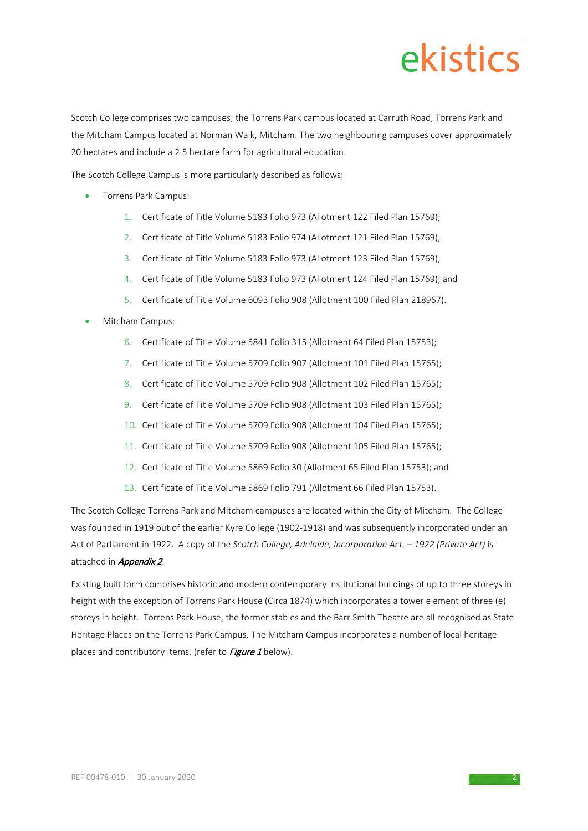Scotch College comprises two campuses; the Torrens Park campus located at Carruth Road, Torrens Park and the Mitcham Campus located at Norman Walk, Mitcham. The two neighbouring campuses cover approximately 20 hectares and include a 2.5 hectare farm for agricultural education.

The Scotch College Campus is more particularly described as follows:

- Torrens Park Campus:
	- 1. Certificate of Title Volume 5183 Folio 973 (Allotment 122 Filed Plan 15769);
	- 2. Certificate of Title Volume 5183 Folio 974 (Allotment 121 Filed Plan 15769);
	- 3. Certificate of Title Volume 5183 Folio 973 (Allotment 123 Filed Plan 15769);
	- 4. Certificate of Title Volume 5183 Folio 973 (Allotment 124 Filed Plan 15769); and
	- 5. Certificate of Title Volume 6093 Folio 908 (Allotment 100 Filed Plan 218967).
- Mitcham Campus:
	- 6. Certificate of Title Volume 5841 Folio 315 (Allotment 64 Filed Plan 15753);
	- 7. Certificate of Title Volume 5709 Folio 907 (Allotment 101 Filed Plan 15765);
	- 8. Certificate of Title Volume 5709 Folio 908 (Allotment 102 Filed Plan 15765);
	- 9. Certificate of Title Volume 5709 Folio 908 (Allotment 103 Filed Plan 15765);
	- 10. Certificate of Title Volume 5709 Folio 908 (Allotment 104 Filed Plan 15765);
	- 11. Certificate of Title Volume 5709 Folio 908 (Allotment 105 Filed Plan 15765);
	- 12. Certificate of Title Volume 5869 Folio 30 (Allotment 65 Filed Plan 15753); and
	- 13. Certificate of Title Volume 5869 Folio 791 (Allotment 66 Filed Plan 15753).

The Scotch College Torrens Park and Mitcham campuses are located within the City of Mitcham. The College was founded in 1919 out of the earlier Kyre College (1902-1918) and was subsequently incorporated under an Act of Parliament in 1922. A copy of the *Scotch College, Adelaide, Incorporation Act. – 1922 (Private Act)* is attached in *Appendix 2*.

Existing built form comprises historic and modern contemporary institutional buildings of up to three storeys in height with the exception of Torrens Park House (Circa 1874) which incorporates a tower element of three (e) storeys in height. Torrens Park House, the former stables and the Barr Smith Theatre are all recognised as State Heritage Places on the Torrens Park Campus. The Mitcham Campus incorporates a number of local heritage places and contributory items. (refer to Figure 1 below).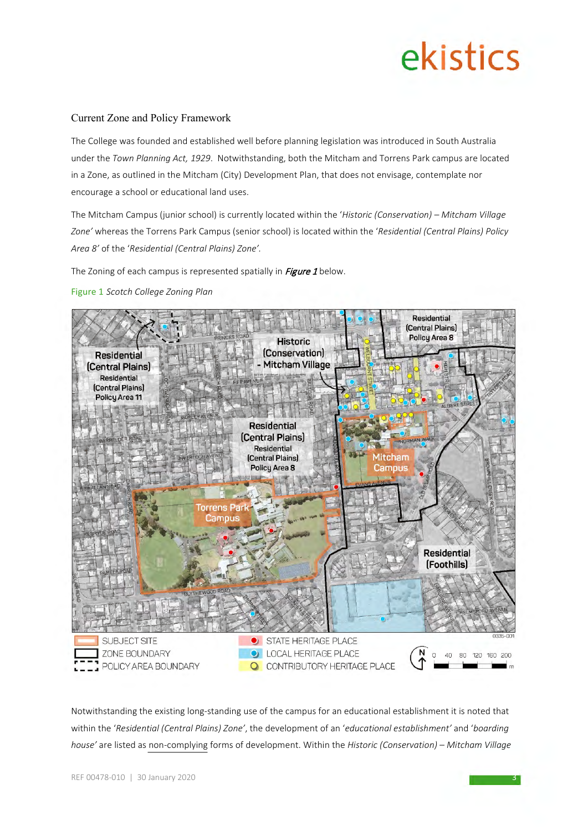#### Current Zone and Policy Framework

The College was founded and established well before planning legislation was introduced in South Australia under the *Town Planning Act, 1929*. Notwithstanding, both the Mitcham and Torrens Park campus are located in a Zone, as outlined in the Mitcham (City) Development Plan, that does not envisage, contemplate nor encourage a school or educational land uses.

The Mitcham Campus (junior school) is currently located within the '*Historic (Conservation) – Mitcham Village Zone'* whereas the Torrens Park Campus (senior school) is located within the '*Residential (Central Plains) Policy Area 8'* of the '*Residential (Central Plains) Zone'.* 

The Zoning of each campus is represented spatially in Figure 1 below.

#### Figure 1 *Scotch College Zoning Plan*



Notwithstanding the existing long-standing use of the campus for an educational establishment it is noted that within the '*Residential (Central Plains) Zone'*, the development of an '*educational establishment'* and '*boarding house'* are listed as non-complying forms of development. Within the *Historic (Conservation) – Mitcham Village*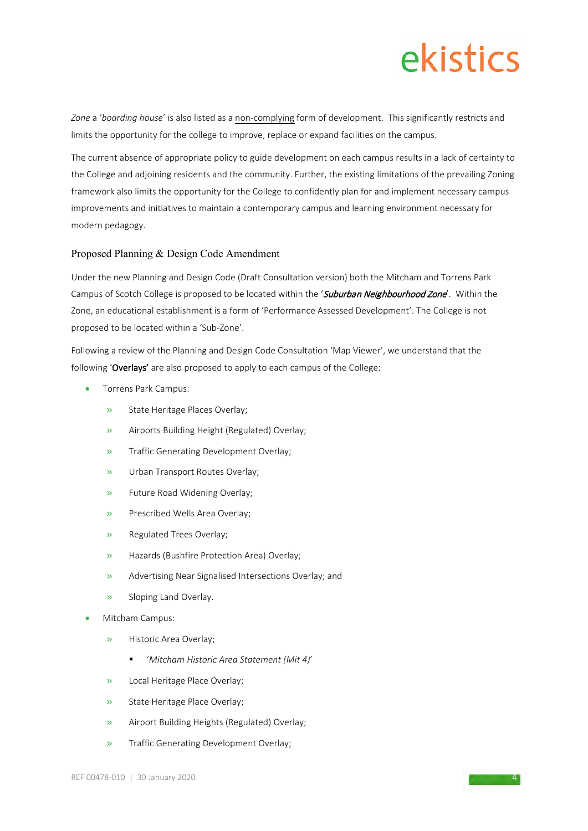*Zone* a '*boarding house*' is also listed as a non-complying form of development. This significantly restricts and limits the opportunity for the college to improve, replace or expand facilities on the campus.

The current absence of appropriate policy to guide development on each campus results in a lack of certainty to the College and adjoining residents and the community. Further, the existing limitations of the prevailing Zoning framework also limits the opportunity for the College to confidently plan for and implement necessary campus improvements and initiatives to maintain a contemporary campus and learning environment necessary for modern pedagogy.

#### Proposed Planning & Design Code Amendment

Under the new Planning and Design Code (Draft Consultation version) both the Mitcham and Torrens Park Campus of Scotch College is proposed to be located within the 'Suburban Neighbourhood Zone'. Within the Zone, an educational establishment is a form of 'Performance Assessed Development'. The College is not proposed to be located within a 'Sub-Zone'.

Following a review of the Planning and Design Code Consultation 'Map Viewer', we understand that the following 'Overlays' are also proposed to apply to each campus of the College:

- Torrens Park Campus:
	- » State Heritage Places Overlay;
	- » Airports Building Height (Regulated) Overlay;
	- » Traffic Generating Development Overlay;
	- » Urban Transport Routes Overlay;
	- » Future Road Widening Overlay;
	- » Prescribed Wells Area Overlay;
	- » Regulated Trees Overlay;
	- » Hazards (Bushfire Protection Area) Overlay;
	- » Advertising Near Signalised Intersections Overlay; and
	- Sloping Land Overlay.
- Mitcham Campus:
	- » Historic Area Overlay;
		- '*Mitcham Historic Area Statement (Mit 4)*'
	- » Local Heritage Place Overlay;
	- State Heritage Place Overlay:
	- » Airport Building Heights (Regulated) Overlay;
	- » Traffic Generating Development Overlay;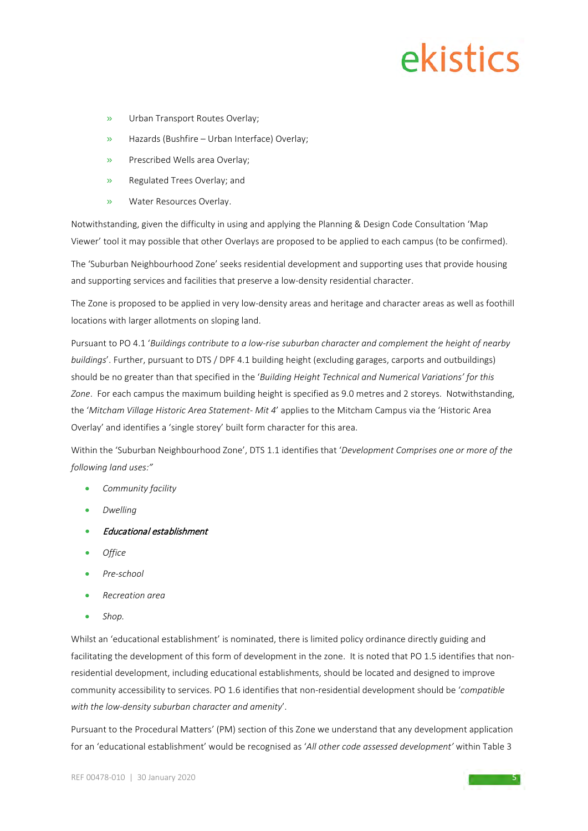- » Urban Transport Routes Overlay;
- » Hazards (Bushfire Urban Interface) Overlay;
- » Prescribed Wells area Overlay;
- » Regulated Trees Overlay; and
- » Water Resources Overlay.

Notwithstanding, given the difficulty in using and applying the Planning & Design Code Consultation 'Map Viewer' tool it may possible that other Overlays are proposed to be applied to each campus (to be confirmed).

The 'Suburban Neighbourhood Zone' seeks residential development and supporting uses that provide housing and supporting services and facilities that preserve a low-density residential character.

The Zone is proposed to be applied in very low-density areas and heritage and character areas as well as foothill locations with larger allotments on sloping land.

Pursuant to PO 4.1 '*Buildings contribute to a low-rise suburban character and complement the height of nearby buildings*'. Further, pursuant to DTS / DPF 4.1 building height (excluding garages, carports and outbuildings) should be no greater than that specified in the '*Building Height Technical and Numerical Variations' for this Zone*. For each campus the maximum building height is specified as 9.0 metres and 2 storeys. Notwithstanding, the '*Mitcham Village Historic Area Statement- Mit 4*' applies to the Mitcham Campus via the 'Historic Area Overlay' and identifies a 'single storey' built form character for this area.

Within the 'Suburban Neighbourhood Zone', DTS 1.1 identifies that '*Development Comprises one or more of the following land uses:"*

- *Community facility*
- *Dwelling*
- Educational establishment
- *Office*
- *Pre-school*
- *Recreation area*
- *Shop.*

Whilst an 'educational establishment' is nominated, there is limited policy ordinance directly guiding and facilitating the development of this form of development in the zone. It is noted that PO 1.5 identifies that nonresidential development, including educational establishments, should be located and designed to improve community accessibility to services. PO 1.6 identifies that non-residential development should be '*compatible with the low-density suburban character and amenity*'.

Pursuant to the Procedural Matters' (PM) section of this Zone we understand that any development application for an 'educational establishment' would be recognised as '*All other code assessed development'* within Table 3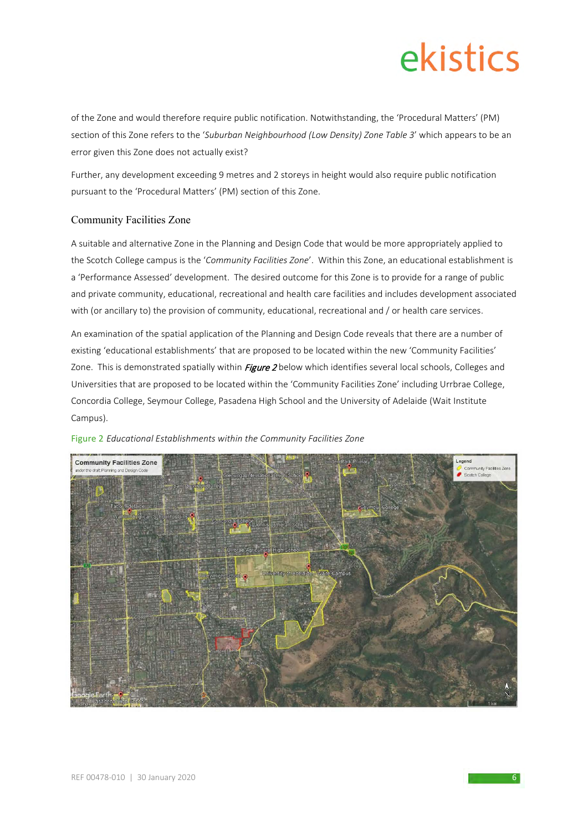of the Zone and would therefore require public notification. Notwithstanding, the 'Procedural Matters' (PM) section of this Zone refers to the '*Suburban Neighbourhood (Low Density) Zone Table 3*' which appears to be an error given this Zone does not actually exist?

Further, any development exceeding 9 metres and 2 storeys in height would also require public notification pursuant to the 'Procedural Matters' (PM) section of this Zone.

#### Community Facilities Zone

A suitable and alternative Zone in the Planning and Design Code that would be more appropriately applied to the Scotch College campus is the '*Community Facilities Zone*'. Within this Zone, an educational establishment is a 'Performance Assessed' development. The desired outcome for this Zone is to provide for a range of public and private community, educational, recreational and health care facilities and includes development associated with (or ancillary to) the provision of community, educational, recreational and / or health care services.

An examination of the spatial application of the Planning and Design Code reveals that there are a number of existing 'educational establishments' that are proposed to be located within the new 'Community Facilities' Zone. This is demonstrated spatially within *Figure 2* below which identifies several local schools, Colleges and Universities that are proposed to be located within the 'Community Facilities Zone' including Urrbrae College, Concordia College, Seymour College, Pasadena High School and the University of Adelaide (Wait Institute Campus).



#### Figure 2 *Educational Establishments within the Community Facilities Zone*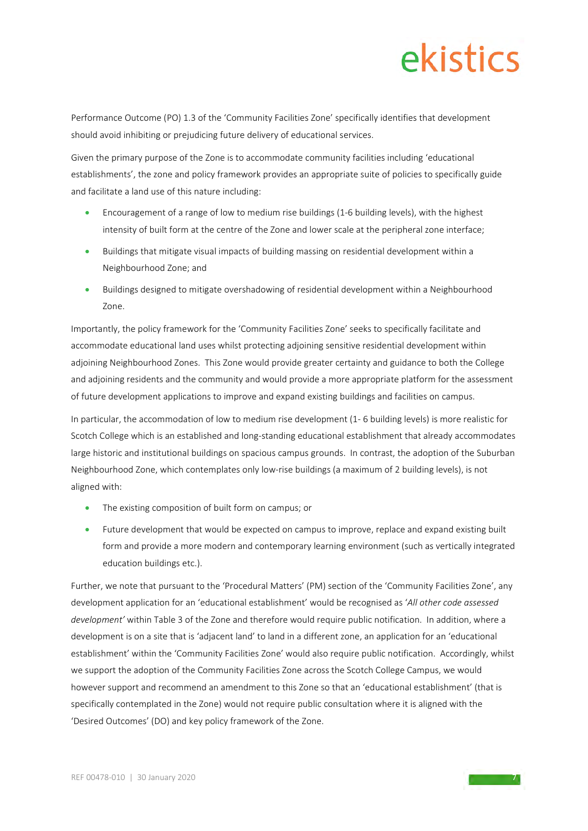Performance Outcome (PO) 1.3 of the 'Community Facilities Zone' specifically identifies that development should avoid inhibiting or prejudicing future delivery of educational services.

Given the primary purpose of the Zone is to accommodate community facilities including 'educational establishments', the zone and policy framework provides an appropriate suite of policies to specifically guide and facilitate a land use of this nature including:

- Encouragement of a range of low to medium rise buildings (1-6 building levels), with the highest intensity of built form at the centre of the Zone and lower scale at the peripheral zone interface;
- Buildings that mitigate visual impacts of building massing on residential development within a Neighbourhood Zone; and
- Buildings designed to mitigate overshadowing of residential development within a Neighbourhood Zone.

Importantly, the policy framework for the 'Community Facilities Zone' seeks to specifically facilitate and accommodate educational land uses whilst protecting adjoining sensitive residential development within adjoining Neighbourhood Zones. This Zone would provide greater certainty and guidance to both the College and adjoining residents and the community and would provide a more appropriate platform for the assessment of future development applications to improve and expand existing buildings and facilities on campus.

In particular, the accommodation of low to medium rise development (1- 6 building levels) is more realistic for Scotch College which is an established and long-standing educational establishment that already accommodates large historic and institutional buildings on spacious campus grounds. In contrast, the adoption of the Suburban Neighbourhood Zone, which contemplates only low-rise buildings (a maximum of 2 building levels), is not aligned with:

- The existing composition of built form on campus; or
- Future development that would be expected on campus to improve, replace and expand existing built form and provide a more modern and contemporary learning environment (such as vertically integrated education buildings etc.).

Further, we note that pursuant to the 'Procedural Matters' (PM) section of the 'Community Facilities Zone', any development application for an 'educational establishment' would be recognised as '*All other code assessed development'* within Table 3 of the Zone and therefore would require public notification. In addition, where a development is on a site that is 'adjacent land' to land in a different zone, an application for an 'educational establishment' within the 'Community Facilities Zone' would also require public notification. Accordingly, whilst we support the adoption of the Community Facilities Zone across the Scotch College Campus, we would however support and recommend an amendment to this Zone so that an 'educational establishment' (that is specifically contemplated in the Zone) would not require public consultation where it is aligned with the 'Desired Outcomes' (DO) and key policy framework of the Zone.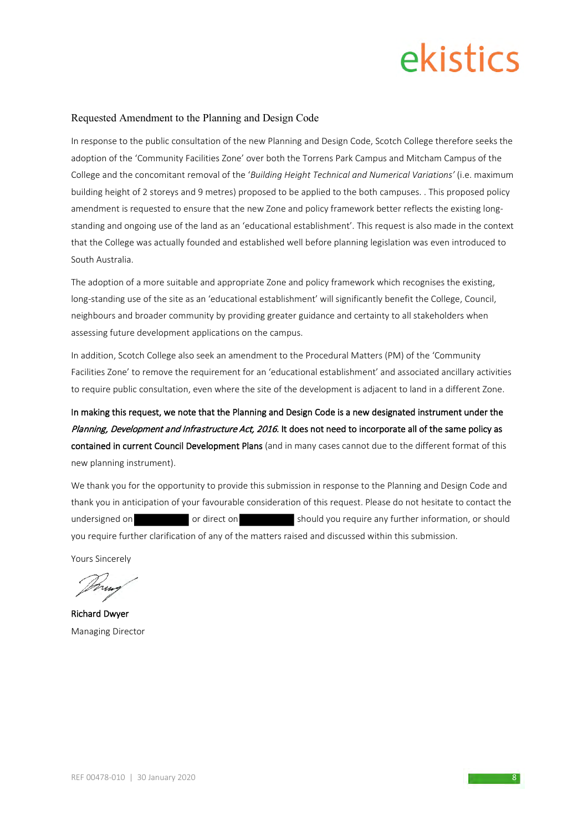#### Requested Amendment to the Planning and Design Code

In response to the public consultation of the new Planning and Design Code, Scotch College therefore seeks the adoption of the 'Community Facilities Zone' over both the Torrens Park Campus and Mitcham Campus of the College and the concomitant removal of the '*Building Height Technical and Numerical Variations'* (i.e. maximum building height of 2 storeys and 9 metres) proposed to be applied to the both campuses. . This proposed policy amendment is requested to ensure that the new Zone and policy framework better reflects the existing longstanding and ongoing use of the land as an 'educational establishment'. This request is also made in the context that the College was actually founded and established well before planning legislation was even introduced to South Australia.

The adoption of a more suitable and appropriate Zone and policy framework which recognises the existing, long-standing use of the site as an 'educational establishment' will significantly benefit the College, Council, neighbours and broader community by providing greater guidance and certainty to all stakeholders when assessing future development applications on the campus.

In addition, Scotch College also seek an amendment to the Procedural Matters (PM) of the 'Community Facilities Zone' to remove the requirement for an 'educational establishment' and associated ancillary activities to require public consultation, even where the site of the development is adjacent to land in a different Zone.

In making this request, we note that the Planning and Design Code is a new designated instrument under the Planning, Development and Infrastructure Act, 2016. It does not need to incorporate all of the same policy as contained in current Council Development Plans (and in many cases cannot due to the different format of this new planning instrument).

We thank you for the opportunity to provide this submission in response to the Planning and Design Code and thank you in anticipation of your favourable consideration of this request. Please do not hesitate to contact the undersigned on or direct on should you require any further information, or should you require further clarification of any of the matters raised and discussed within this submission.

Yours Sincerely

Richard Dwyer Managing Director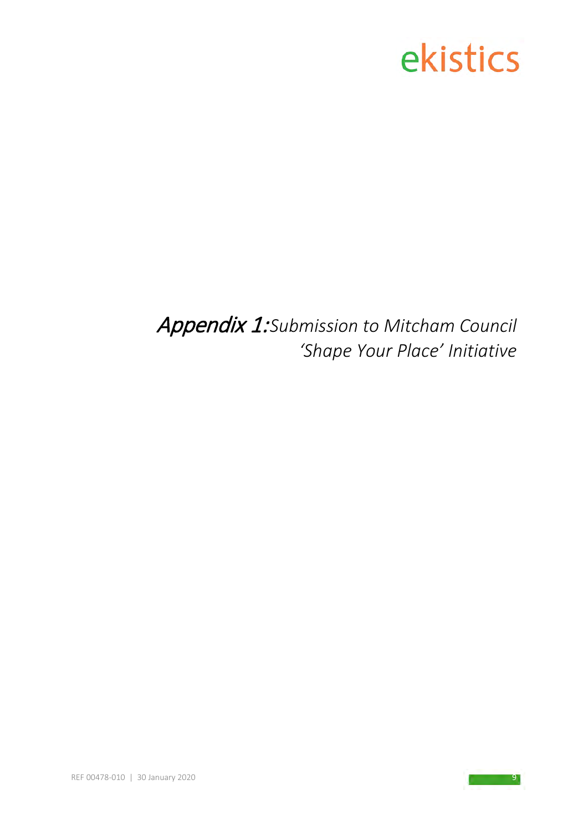Appendix 1:*Submission to Mitcham Council 'Shape Your Place' Initiative*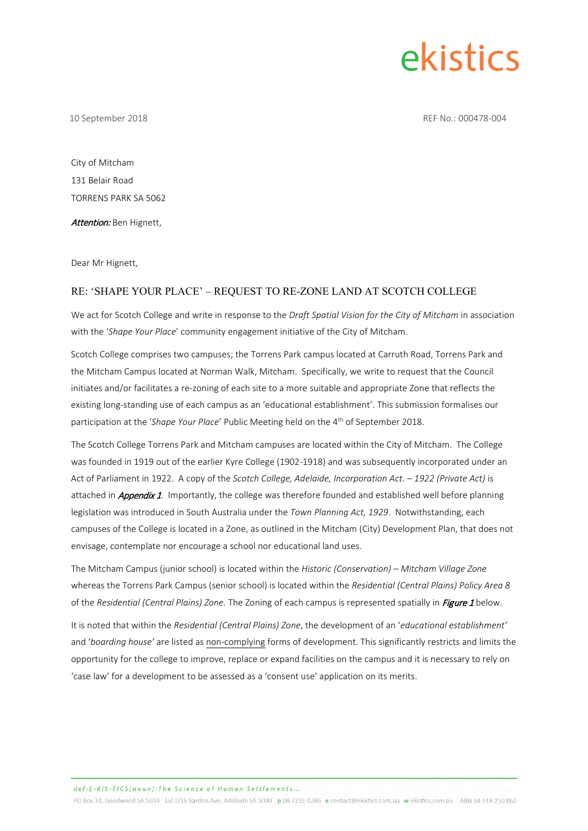10 September 2018 REF No.: 000478-004

City of Mitcham 131 Belair Road TORRENS PARK SA 5062

Attention: Ben Hignett,

Dear Mr Hignett,

#### RE: 'SHAPE YOUR PLACE' – REQUEST TO RE-ZONE LAND AT SCOTCH COLLEGE

We act for Scotch College and write in response to the *Draft Spatial Vision for the City of Mitcham* in association with the '*Shape Your Place*' community engagement initiative of the City of Mitcham.

Scotch College comprises two campuses; the Torrens Park campus located at Carruth Road, Torrens Park and the Mitcham Campus located at Norman Walk, Mitcham. Specifically, we write to request that the Council initiates and/or facilitates a re-zoning of each site to a more suitable and appropriate Zone that reflects the existing long-standing use of each campus as an 'educational establishment'. This submission formalises our participation at the 'Shape Your Place' Public Meeting held on the 4<sup>th</sup> of September 2018.

The Scotch College Torrens Park and Mitcham campuses are located within the City of Mitcham. The College was founded in 1919 out of the earlier Kyre College (1902-1918) and was subsequently incorporated under an Act of Parliament in 1922. A copy of the *Scotch College, Adelaide, Incorporation Act. – 1922 (Private Act)* is attached in **Appendix 1**. Importantly, the college was therefore founded and established well before planning legislation was introduced in South Australia under the *Town Planning Act, 1929*. Notwithstanding, each campuses of the College is located in a Zone, as outlined in the Mitcham (City) Development Plan, that does not envisage, contemplate nor encourage a school nor educational land uses.

The Mitcham Campus (junior school) is located within the *Historic (Conservation) – Mitcham Village Zone* whereas the Torrens Park Campus (senior school) is located within the *Residential (Central Plains) Policy Area 8*  of the *Residential (Central Plains) Zone.* The Zoning of each campus is represented spatially in *Figure 1* below.

It is noted that within the *Residential (Central Plains) Zone*, the development of an '*educational establishment'* and '*boarding house'* are listed as non-complying forms of development. This significantly restricts and limits the opportunity for the college to improve, replace or expand facilities on the campus and it is necessary to rely on 'case law' for a development to be assessed as a 'consent use' application on its merits.

def:E-KIS-TICS{noun]:The Science of Human Settlements.

PO Box 32, Goodwood SA 5034 Lvl 1/16 Vardon Ave, Adelaide SA 5000 p 08 7231 0286 e contact@ekistics.com.au w ekistics.com.au ABN 34 918 250 862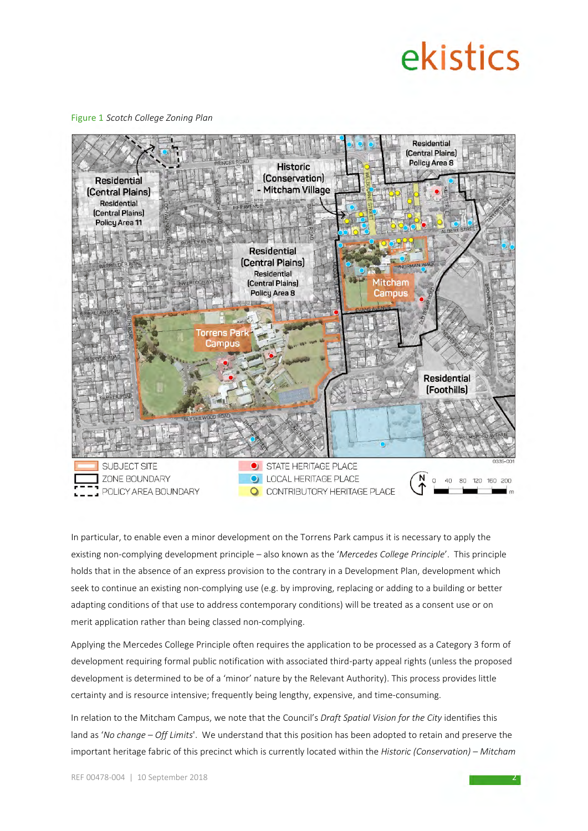Figure 1 *Scotch College Zoning Plan*



In particular, to enable even a minor development on the Torrens Park campus it is necessary to apply the existing non-complying development principle – also known as the '*Mercedes College Principle*'. This principle holds that in the absence of an express provision to the contrary in a Development Plan, development which seek to continue an existing non-complying use (e.g. by improving, replacing or adding to a building or better adapting conditions of that use to address contemporary conditions) will be treated as a consent use or on merit application rather than being classed non-complying.

Applying the Mercedes College Principle often requires the application to be processed as a Category 3 form of development requiring formal public notification with associated third-party appeal rights (unless the proposed development is determined to be of a 'minor' nature by the Relevant Authority). This process provides little certainty and is resource intensive; frequently being lengthy, expensive, and time-consuming.

In relation to the Mitcham Campus, we note that the Council's *Draft Spatial Vision for the City* identifies this land as '*No change – Off Limits*'. We understand that this position has been adopted to retain and preserve the important heritage fabric of this precinct which is currently located within the *Historic (Conservation) – Mitcham*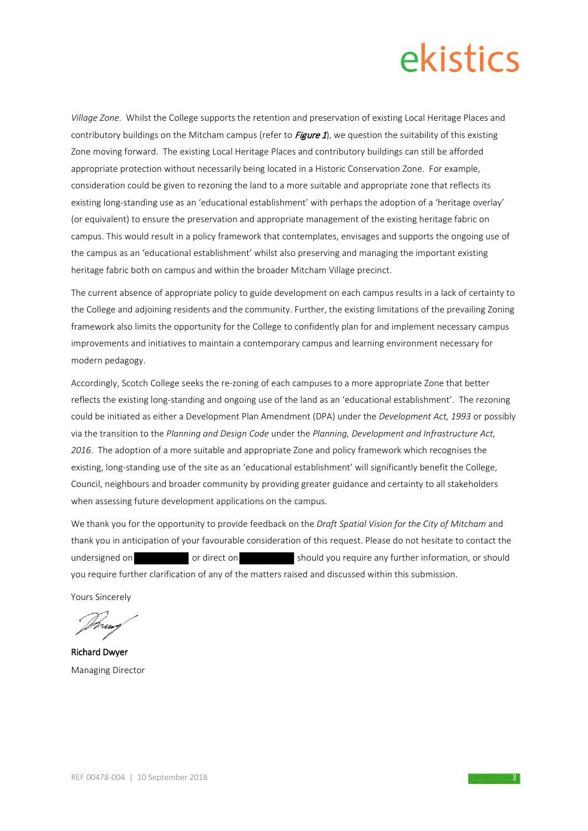*Village Zone*. Whilst the College supports the retention and preservation of existing Local Heritage Places and contributory buildings on the Mitcham campus (refer to  $Figure 1$ ), we question the suitability of this existing Zone moving forward. The existing Local Heritage Places and contributory buildings can still be afforded appropriate protection without necessarily being located in a Historic Conservation Zone. For example, consideration could be given to rezoning the land to a more suitable and appropriate zone that reflects its existing long-standing use as an 'educational establishment' with perhaps the adoption of a 'heritage overlay' (or equivalent) to ensure the preservation and appropriate management of the existing heritage fabric on campus. This would result in a policy framework that contemplates, envisages and supports the ongoing use of the campus as an 'educational establishment' whilst also preserving and managing the important existing heritage fabric both on campus and within the broader Mitcham Village precinct.

The current absence of appropriate policy to guide development on each campus results in a lack of certainty to the College and adjoining residents and the community. Further, the existing limitations of the prevailing Zoning framework also limits the opportunity for the College to confidently plan for and implement necessary campus improvements and initiatives to maintain a contemporary campus and learning environment necessary for modern pedagogy.

Accordingly, Scotch College seeks the re-zoning of each campuses to a more appropriate Zone that better reflects the existing long-standing and ongoing use of the land as an 'educational establishment'. The rezoning could be initiated as either a Development Plan Amendment (DPA) under the *Development Act, 1993* or possibly via the transition to the *Planning and Design Code* under the *Planning, Development and Infrastructure Act, 2016*. The adoption of a more suitable and appropriate Zone and policy framework which recognises the existing, long-standing use of the site as an 'educational establishment' will significantly benefit the College, Council, neighbours and broader community by providing greater guidance and certainty to all stakeholders when assessing future development applications on the campus.

We thank you for the opportunity to provide feedback on the *Draft Spatial Vision for the City of Mitcham* and thank you in anticipation of your favourable consideration of this request. Please do not hesitate to contact the undersigned on or direct on should you require any further information, or should you require further clarification of any of the matters raised and discussed within this submission.

Yours Sincerely

Richard Dwyer Managing Director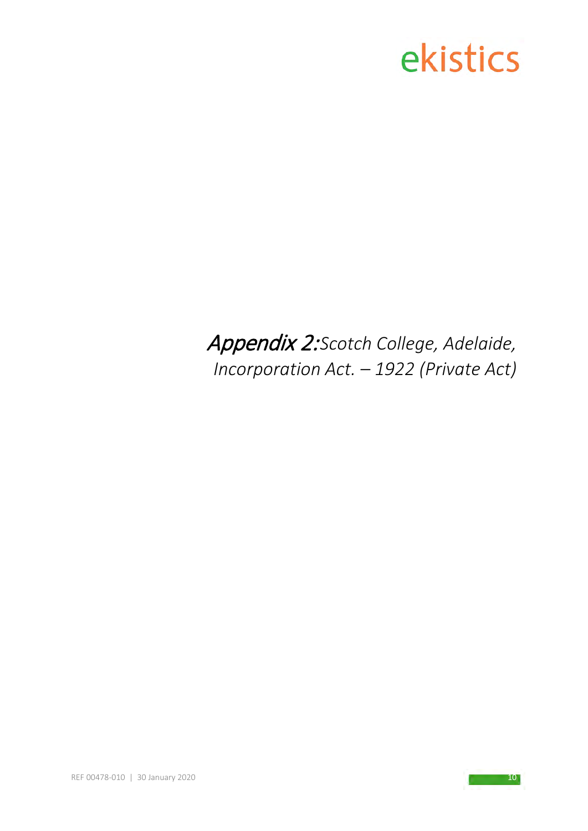### Appendix 2:*Scotch College, Adelaide, Incorporation Act. – 1922 (Private Act)*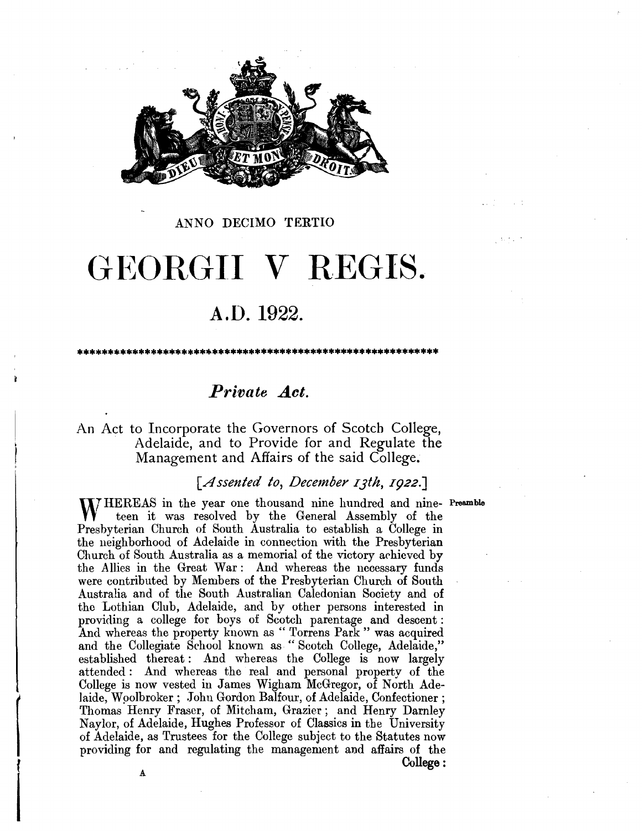

#### **ANNO DECIMO TERTIO**

### GEORGII V REGIS.

#### **A.O. 1922.**

*Private Act.* 

\*\*\*\*\*\*\*\*\*\*\*\*\*\*\*\*\*\*\*\*\*\*\*\*\*\*\*\*\*\*\*\*\*\*\*\*\*\*\*\*\*\*\*\*\*\*\*\*\*\*\*\*\*\*\*\*\*\*\*

#### An Act to Incorporate the Governors of Scotch College, Adelaide, and to Provide for and Regulate the Management and Affairs of the said College.

#### *[Assented to, December IJth, I922.J*

**lIT** HEREAS in the year one thousand nine hundred and nine-**Preamble** teen it was resolved by the General Assembly of the Presbyterian Church of South Australia to establish a College in the neighborhood of Adelaide in connection with the Presbyterian Church of South Australia as a memorial of the victory achieved by the Allies in the Great War: And whereas the necessary funds were contributed by Members of the Presbyterian Church of South Australia and of the South Australian Caledonian Society and of the Lothian Club, Adelaide, and by other persons interested in providing a college for boys of Scotch parentage and descent : And whereas the property known as "Torrens Park" was acquired and the Collegiate School known as "Scotch College, Adelaide," established thereat : And whereas the College is now largely attended : And whereas the real and personal property of the College is now vested in James Wigham McGregor, of North Adelaide, Woolbroker; John Gordon Balfour, of Adelaide, Confectioner; Thomas Henry Fraser, of Mitcham, Grazier; and Henry Darnley Naylor, of Adelaide, Hughes Professor of Classics **in** the University of Adelaide, as Trustees for the College subject to the Statutes now providing for and regulating the management and affairs of the **College:** 

 $\begin{bmatrix} \vdots \\ \vdots \\ \vdots \\ \vdots \end{bmatrix}$ 

I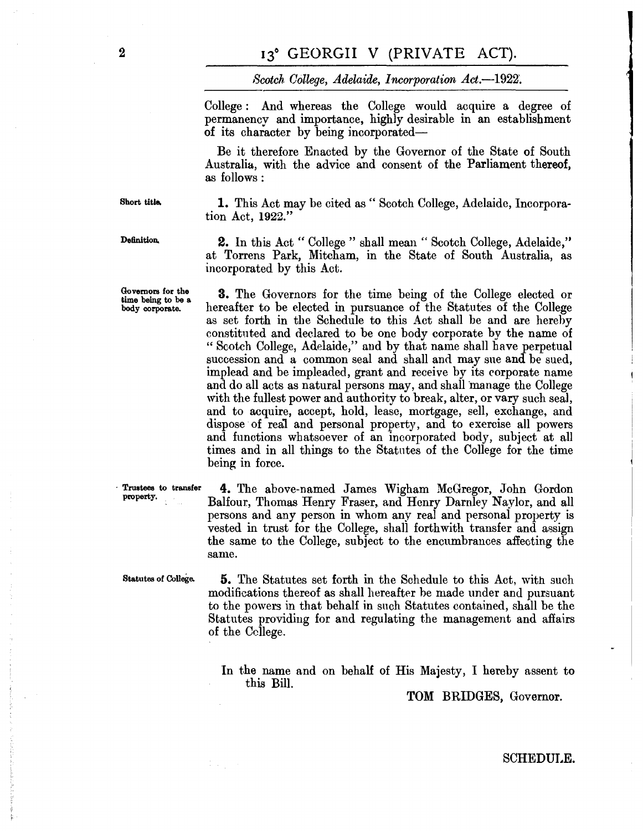*Scotch College, Adelaide, Incorporation Act.*-1922.

College : And whereas the College would acquire a degree of permanencv and importance, highly desirable in an establishment of its character by being incorporated-

Be it therefore Enacted by the Governor of the State of South Australia, with the advice and consent of the Parliament thereof, as follows:

**Short title.** 

**1.** This Act may be cited as " Scotch College, Adelaide, Incorporation Act, **1922."** 

**Definition.** 

**Governors for the time being to be a. body corporate.** 

**2.** In this Act " College " shall mean " Scotch College, Adelaide," at Torrens Park, Mitcham, in the State of South Australia, as incorporated by this Act.

**3.** The Governors for the time being of the College elected or hereafter to be elected in pursuance of the Statutes of the College as set forth in the Schedule to this Act shall be and are hereby constituted and declared to be one body corporate by the name of "Scotch College, Adelaide," and by that name shall have perpetual succession and a common seal and shall and may sue and be sued, imp lead and be impleaded, grant and receive by its corporate name and do all acts as natural persons may, and shall manage the College with the fullest power and authority to break, alter, or vary such seal, and to acquire, accept, hold, lease, mortgage, sell, exchange, and dispose of real and personal property, and to exercise all powers and functions whatsoever of an incorporated body, subject at all times and in all things to the Statntes of the College for the time being in force.

· **Trustees to transfer property,** 

**4.** The above-named James Wigham McGregor, John Gordon Balfour, Thomas Henry Fraser, and Henry Darnley Naylor, and all persons and any person in whom any real and personal property is vested in trust for the College, shall forthwith transfer and assign the same to the College, subject to the encumbrances affecting the same.

**Statutes** of **College. 5.** The Statutes set forth in the Schedule to this Act, with such modifications thereof as shall hereafter be made under and pursuant to the powers in that behalf in such Statutes contained, shall be the Statutes providing for and regulating the management and affairs of the College.

> In the name and on behalf of His Majesty, I hereby assent to this Bill.

> > TOM BRIDGES, Governor.

2

#### SCHEDULE.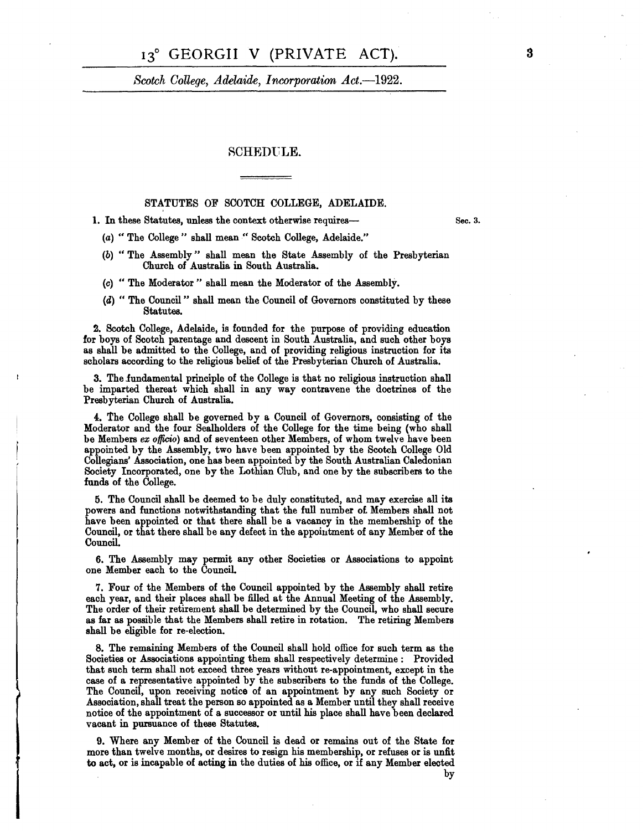#### 13° GEORGII V (PRIVATE ACT).

*Scotch College, Adelaide, Incorporation Act.*-1922.

#### **SCHEDULE.**

#### STATUTES OF SCOTCH COLLEGE, ADELAIDE.

1. In these Statutes, unless the context otherwise requires-

(a) "The College" shall mean" Scotch College, Adelaide."

- (b) "The Assembly" shall mean the State Assembly of the Presbyterian Church of Australia in South Australia.
- (c) " The Moderator" shall mean the Moderator of the Assembly.
- **(a)** " The Council " shall mean the Council of Governors constituted by these Statutes.

**2.** Scotch College, Adelaide; is founded for the purpose of providing education **for** boys of Scotch parentage and descent in South Australia, and such other boys as shall be admitted to the College, and of providing religious instruction for its scholars according to the religious belief of the Presbyterian Church of Australia.

3. The fundamental principle of the College is that no religious instruction shall be imparted thereat which shall in any way contravene the doctrines of the Presbyterian Church of Australia.

4. The College shall be governed by a Council of Governors, consisting of the Moderator and the four Sealholders of the College for the time being (who shall be Members *ex officio*) and of seventeen other Members, of whom twelve have been appointed by the Assembly, two have been appointed by the Scotch College Old Collegians' Association, one has been appointed by the South Australian Caledonian Society Incorporated, one by the Lothian Club, and one by the subscribers to the funds of the College.

5. The Council shall be deemed to be duly constituted, and may exercise all its powers and functions notwithstanding that the full number of. Members shall not have been appointed or that there shall be a vacancy in the membership of the Council, or that there shall be any defect in the appointment of any Member of the Council.

6. The Assembly may permit any other Societies or Associations to appoint one Member each to the Council.

7. Four of the Members of the Council appointed by the Assembly shall retire each year, and their places shall be filled at the Annual Meeting of the Assembly. The order of their retirement shall be determined by the Council, who shall secure as far as possible that the Members shall retire in rotation. The retiring Members shall be eligible for re-election.

8. The remaining Members of the Council shall hold office for such term as the Societies or Associations appointing them shall respectively determine: Provided that such term shall not exceed three years without re-appointment, except in the case of a representative appointed by the subscribers to the funds of the College. The Council, upon receiving notice of an appointment by any such Society or Association, shall treat the person so appointed as a Member until they shall receive notice of the appointment of a successor or until his place shall have been declared vacant in pursuance of these Statutes.

9. Where any Member of the Council is dead or remains out of the State **for**  more than twelve months, or desires to resign his membership, or refuses or is unfit to act, or is incapable of acting in the duties of his office, or if any Member elected

 $\begin{array}{c} \begin{array}{c} \begin{array}{c} \begin{array}{c} \end{array} \\ \begin{array}{c} \end{array} \end{array} \end{array} \end{array}$ 

by

Sec. 3.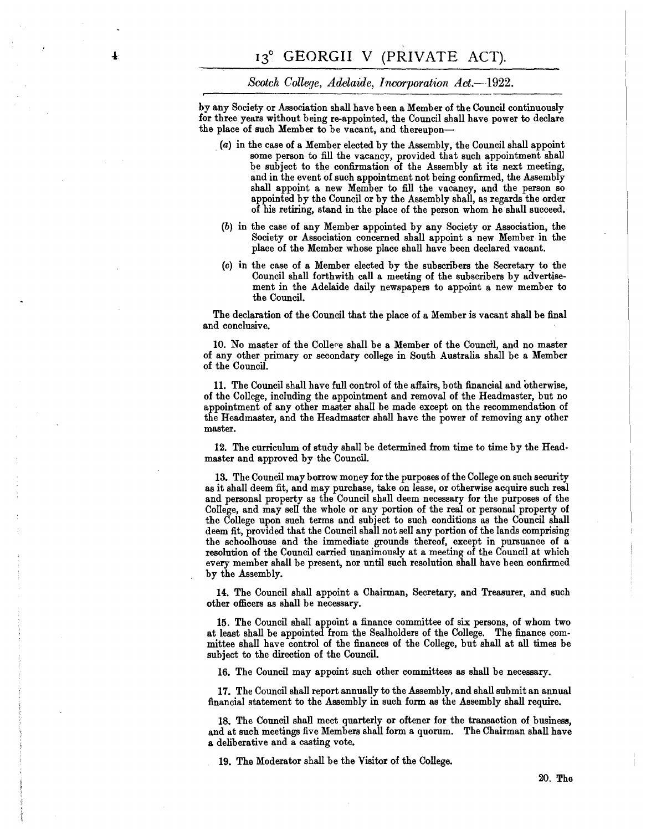$\ddagger$ 

#### *Scotch College, Adelaide, Incorporation Act.*-1922.

by any Society or Association shall have been a Member of the Council continuously **for** three years without being re-appointed, the Council shall have power to declare the place of such Member to be vacant, and thereupon-

- . (a) in the case **of** a Member elected by the Assembly, the Council shall appoint some person to fill the vacancy, provided that such appointment shall be subject to the confirmation of the Assembly at its next meeting, and in the event of such appointment not being confirmed, the Assembly shall appoint a new Member to fill the vacancy, and the person so appointed by the Council or by the Assembly shall, as regards the order of his retiring, stand in the place of the person whom he shall succeed.
- (b) in the case of any Member appointed by any Society or Association, the Society or Association concerned shall appoint a new Member in the place of the Member whose place shall have been declared vacant.
- (c) in the case of a Member elected by the subscribers the Secretary to the Council shall forthwith call a meeting **of** the subscribers by advertisement in the Adelaide daily newspapers to appoint a new member to the Council.

The declaration of the Council that the place of a Member is vacant shall be final and conclusive.

10. No master of the College shall be a Member of the Council, and no master of any other primary or secondary college in South Australia shall be a Member of the Council.

11. The Council shall have full control of the affairs, both financial and otherwise, of the College, including the appointment and removal of the Headmaster, but no appointment of any other master shall be made except on the recommendation of the Headmaster, and the Headmaster shall have the power of removing any other master.

12. The curriculum of study shall be determined from time to time by the Headmaster and approved by the Council.

13. The Council may borrow money for the purposes of the College on such security as it shall deem fit, and may purchase, take on lease, or otherwise acquire such real and personal property as the Council shall deem necessary for the purposes of the College, and may sell the whole or any portion of the real or personal property of the College upon such terms and subject to such conditions as the Council shall deem fit, provided that the Council shall not sell any portion of the lands comprising the schoolhouse and the immediate grounds thereof, except in pursuance of a resolution of the Council carried unanimously at a meeting of the Council at which every member shall be present, nor until such resolution shall have been confirmed by the Assembly.

14. The Council shall appoint a Chairman, Secretary, and Treasurer, and such other officers as shall be necessary.

15. The Council shall appoint a finance committee of six persons, of whom two at least shall be appointed from the Sealholders of the College. The finance committee shall have control of the finances of the College, but shall at all times be subject to the direction of the Council.

16. The Council may appoint such other committees as shall be necessary.

**17.** The Council shall report annually to the Assembly, and shall submit an annual financial statement to the Assembly in such form as the Assembly shall require.

18. The Council shall meet quarterly or oftener for the transaction of business, and at such meetings five Members shall form a quorum. The Chairman shall have **a** deliberative and a casting vote.

19. The Moderator shall be the Visitor of the College.